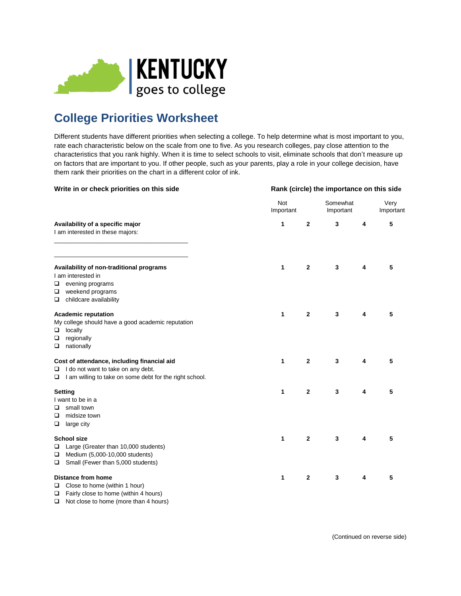

## **College Priorities Worksheet**

Different students have different priorities when selecting a college. To help determine what is most important to you, rate each characteristic below on the scale from one to five. As you research colleges, pay close attention to the characteristics that you rank highly. When it is time to select schools to visit, eliminate schools that don't measure up on factors that are important to you. If other people, such as your parents, play a role in your college decision, have them rank their priorities on the chart in a different color of ink.

| Write in or check priorities on this side                                                                                                                  | Rank (circle) the importance on this side |                |                       |   |                   |  |
|------------------------------------------------------------------------------------------------------------------------------------------------------------|-------------------------------------------|----------------|-----------------------|---|-------------------|--|
| Availability of a specific major<br>I am interested in these majors:                                                                                       | Not<br>Important                          |                | Somewhat<br>Important |   | Very<br>Important |  |
|                                                                                                                                                            | 1                                         | $\mathbf{2}$   | 3                     | 4 | 5                 |  |
| Availability of non-traditional programs<br>I am interested in<br>evening programs<br>❏<br>weekend programs<br>❏<br>childcare availability<br>❏            | 1                                         | 2              | 3                     | 4 | 5                 |  |
| <b>Academic reputation</b><br>My college should have a good academic reputation<br>locally<br>□<br>regionally<br>❏<br>nationally<br>□                      | 1                                         | $\mathbf{2}$   | 3                     | 4 | 5                 |  |
| Cost of attendance, including financial aid<br>$\Box$ I do not want to take on any debt.<br>$\Box$ I am willing to take on some debt for the right school. | 1                                         | $\overline{2}$ | 3                     | 4 | 5                 |  |
| Setting<br>I want to be in a<br>small town<br>□<br>midsize town<br>❏<br>large city<br>□                                                                    | 1                                         | $\mathbf{2}$   | 3                     | 4 | 5                 |  |
| <b>School size</b><br>Large (Greater than 10,000 students)<br>□<br>Medium (5,000-10,000 students)<br>□<br>Small (Fewer than 5,000 students)<br>□           | 1                                         | $\overline{2}$ | $\mathbf 3$           | 4 | 5                 |  |
| <b>Distance from home</b><br>Close to home (within 1 hour)<br>□<br>$\Box$ Fairly close to home (within 4 hours)                                            | 1                                         | 2              | 3                     | 4 | 5                 |  |

□ Not close to home (more than 4 hours)